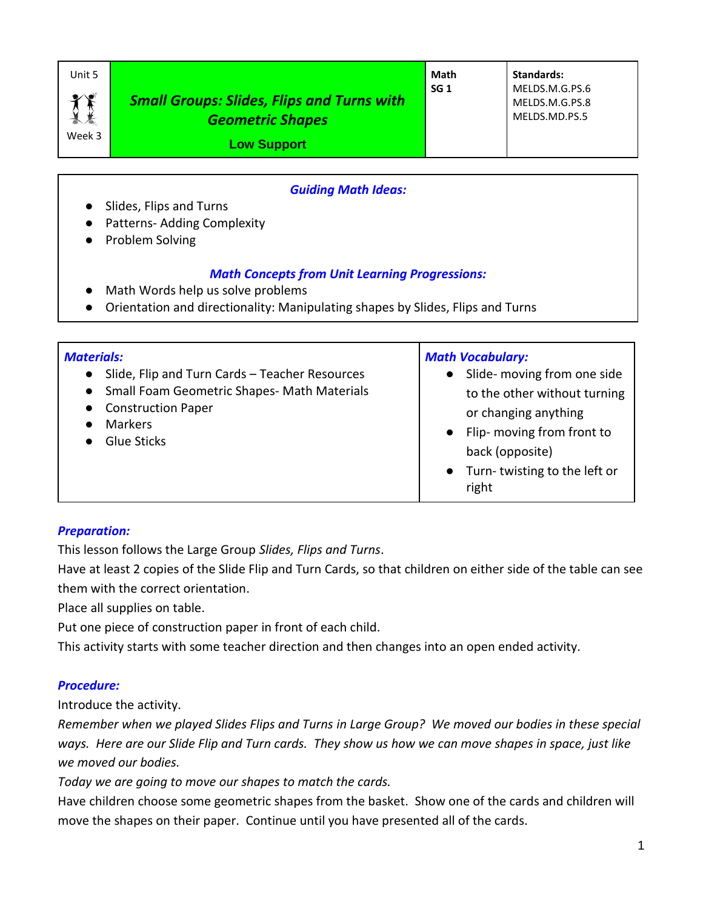| Unit 5           |                                                                              | Math            | Standards:                                        |
|------------------|------------------------------------------------------------------------------|-----------------|---------------------------------------------------|
| $\chi$<br>Week 3 | <b>Small Groups: Slides, Flips and Turns with</b><br><b>Geometric Shapes</b> | SG <sub>1</sub> | MELDS.M.G.PS.6<br>MELDS.M.G.PS.8<br>MELDS.MD.PS.5 |
|                  | <b>Low Support</b>                                                           |                 |                                                   |

### *Guiding Math Ideas:*

- Slides, Flips and Turns
- Patterns- Adding Complexity
- Problem Solving

### *Math Concepts from Unit Learning Progressions:*

- Math Words help us solve problems
- Orientation and directionality: Manipulating shapes by Slides, Flips and Turns

| <b>Materials:</b><br>Slide, Flip and Turn Cards - Teacher Resources<br>$\bullet$<br>• Small Foam Geometric Shapes- Math Materials<br><b>Construction Paper</b><br>$\bullet$<br><b>Markers</b><br><b>Glue Sticks</b> | <b>Math Vocabulary:</b><br>Slide- moving from one side<br>$\bullet$<br>to the other without turning<br>or changing anything<br>• Flip- moving from front to<br>back (opposite)<br>Turn-twisting to the left or<br>right |
|---------------------------------------------------------------------------------------------------------------------------------------------------------------------------------------------------------------------|-------------------------------------------------------------------------------------------------------------------------------------------------------------------------------------------------------------------------|
|---------------------------------------------------------------------------------------------------------------------------------------------------------------------------------------------------------------------|-------------------------------------------------------------------------------------------------------------------------------------------------------------------------------------------------------------------------|

### *Preparation:*

This lesson follows the Large Group *Slides, Flips and Turns*.

Have at least 2 copies of the Slide Flip and Turn Cards, so that children on either side of the table can see them with the correct orientation.

Place all supplies on table.

Put one piece of construction paper in front of each child.

This activity starts with some teacher direction and then changes into an open ended activity.

## *Procedure:*

Introduce the activity.

*Remember when we played Slides Flips and Turns in Large Group? We moved our bodies in these special ways. Here are our Slide Flip and Turn cards. They show us how we can move shapes in space, just like we moved our bodies.*

*Today we are going to move our shapes to match the cards.*

Have children choose some geometric shapes from the basket. Show one of the cards and children will move the shapes on their paper. Continue until you have presented all of the cards.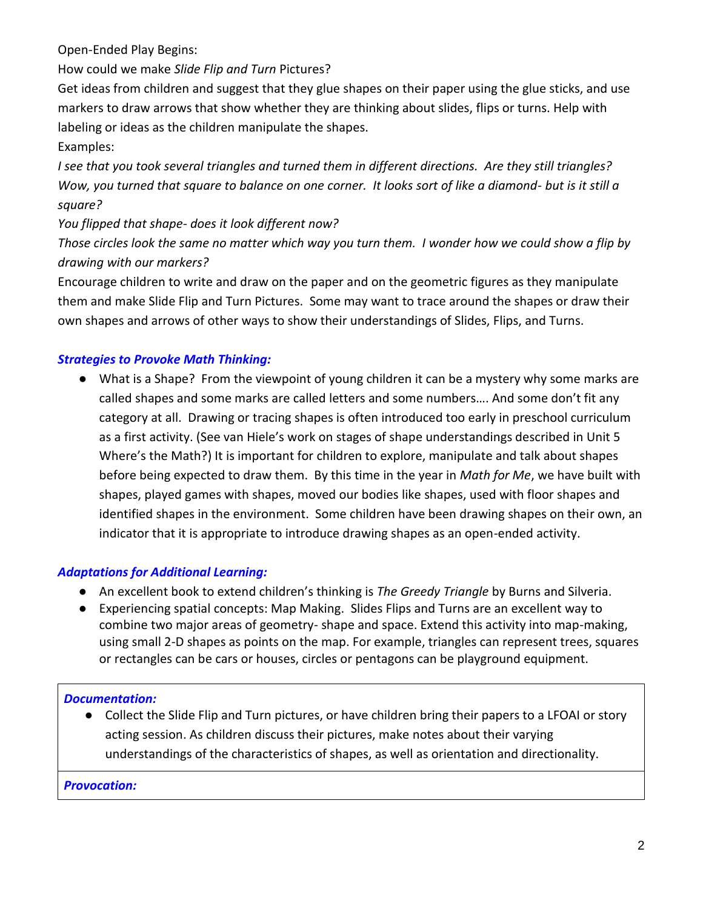Open-Ended Play Begins:

How could we make *Slide Flip and Turn* Pictures?

Get ideas from children and suggest that they glue shapes on their paper using the glue sticks, and use markers to draw arrows that show whether they are thinking about slides, flips or turns. Help with labeling or ideas as the children manipulate the shapes.

## Examples:

*I see that you took several triangles and turned them in different directions. Are they still triangles? Wow, you turned that square to balance on one corner. It looks sort of like a diamond- but is it still a square?*

*You flipped that shape- does it look different now?*

*Those circles look the same no matter which way you turn them. I wonder how we could show a flip by drawing with our markers?*

Encourage children to write and draw on the paper and on the geometric figures as they manipulate them and make Slide Flip and Turn Pictures. Some may want to trace around the shapes or draw their own shapes and arrows of other ways to show their understandings of Slides, Flips, and Turns.

# *Strategies to Provoke Math Thinking:*

● What is a Shape? From the viewpoint of young children it can be a mystery why some marks are called shapes and some marks are called letters and some numbers…. And some don't fit any category at all. Drawing or tracing shapes is often introduced too early in preschool curriculum as a first activity. (See van Hiele's work on stages of shape understandings described in Unit 5 Where's the Math?) It is important for children to explore, manipulate and talk about shapes before being expected to draw them. By this time in the year in *Math for Me*, we have built with shapes, played games with shapes, moved our bodies like shapes, used with floor shapes and identified shapes in the environment. Some children have been drawing shapes on their own, an indicator that it is appropriate to introduce drawing shapes as an open-ended activity.

## *Adaptations for Additional Learning:*

- An excellent book to extend children's thinking is *The Greedy Triangle* by Burns and Silveria.
- Experiencing spatial concepts: Map Making. Slides Flips and Turns are an excellent way to combine two major areas of geometry- shape and space. Extend this activity into map-making, using small 2-D shapes as points on the map. For example, triangles can represent trees, squares or rectangles can be cars or houses, circles or pentagons can be playground equipment.

## *Documentation:*

● Collect the Slide Flip and Turn pictures, or have children bring their papers to a LFOAI or story acting session. As children discuss their pictures, make notes about their varying understandings of the characteristics of shapes, as well as orientation and directionality.

## *Provocation:*